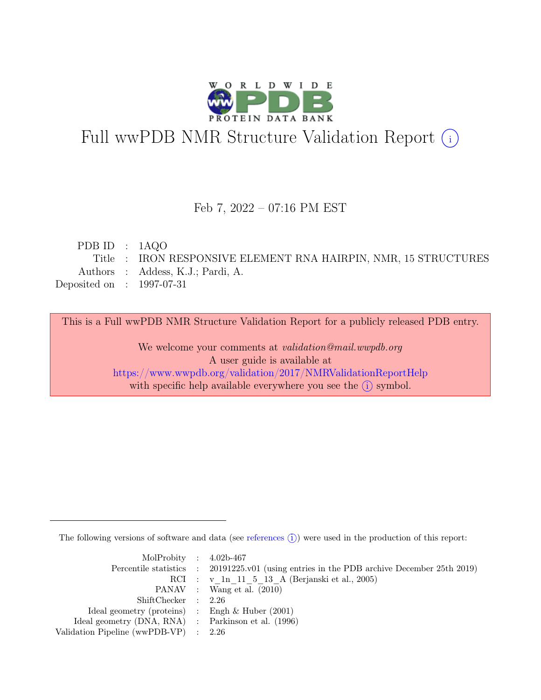

# Full wwPDB NMR Structure Validation Report (i)

## Feb 7, 2022 – 07:16 PM EST

| PDB ID : $1AQO$             |                                                                 |
|-----------------------------|-----------------------------------------------------------------|
|                             | Title : IRON RESPONSIVE ELEMENT RNA HAIRPIN, NMR, 15 STRUCTURES |
|                             | Authors : Addess, K.J.; Pardi, A.                               |
| Deposited on : $1997-07-31$ |                                                                 |
|                             |                                                                 |

This is a Full wwPDB NMR Structure Validation Report for a publicly released PDB entry.

We welcome your comments at *validation@mail.wwpdb.org* A user guide is available at <https://www.wwpdb.org/validation/2017/NMRValidationReportHelp> with specific help available everywhere you see the  $(i)$  symbol.

The following versions of software and data (see [references](https://www.wwpdb.org/validation/2017/NMRValidationReportHelp#references)  $\hat{I}$ ) were used in the production of this report:

| MolProbity : $4.02b-467$                            |                                                                                            |
|-----------------------------------------------------|--------------------------------------------------------------------------------------------|
|                                                     | Percentile statistics : 20191225.v01 (using entries in the PDB archive December 25th 2019) |
|                                                     | RCI : v 1n 11 5 13 A (Berjanski et al., 2005)                                              |
|                                                     | PANAV : Wang et al. (2010)                                                                 |
| ShiftChecker : 2.26                                 |                                                                                            |
| Ideal geometry (proteins) : Engh $\&$ Huber (2001)  |                                                                                            |
| Ideal geometry (DNA, RNA) : Parkinson et al. (1996) |                                                                                            |
| Validation Pipeline (wwPDB-VP) $\therefore$ 2.26    |                                                                                            |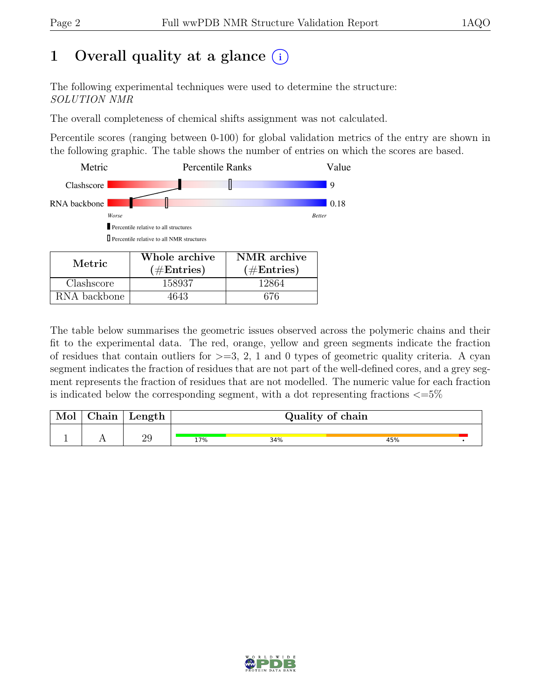# 1 Overall quality at a glance  $(i)$

The following experimental techniques were used to determine the structure: SOLUTION NMR

The overall completeness of chemical shifts assignment was not calculated.

Percentile scores (ranging between 0-100) for global validation metrics of the entry are shown in the following graphic. The table shows the number of entries on which the scores are based.



RNA backbone | 4643 | 676

The table below summarises the geometric issues observed across the polymeric chains and their fit to the experimental data. The red, orange, yellow and green segments indicate the fraction of residues that contain outliers for  $>=$  3, 2, 1 and 0 types of geometric quality criteria. A cyan segment indicates the fraction of residues that are not part of the well-defined cores, and a grey segment represents the fraction of residues that are not modelled. The numeric value for each fraction is indicated below the corresponding segment, with a dot representing fractions  $\epsilon = 5\%$ 

| Mol | $\gamma$ hain | Length | Quality of chain |     |     |  |  |  |
|-----|---------------|--------|------------------|-----|-----|--|--|--|
|     |               | 29     | 17%              | 34% | 45% |  |  |  |

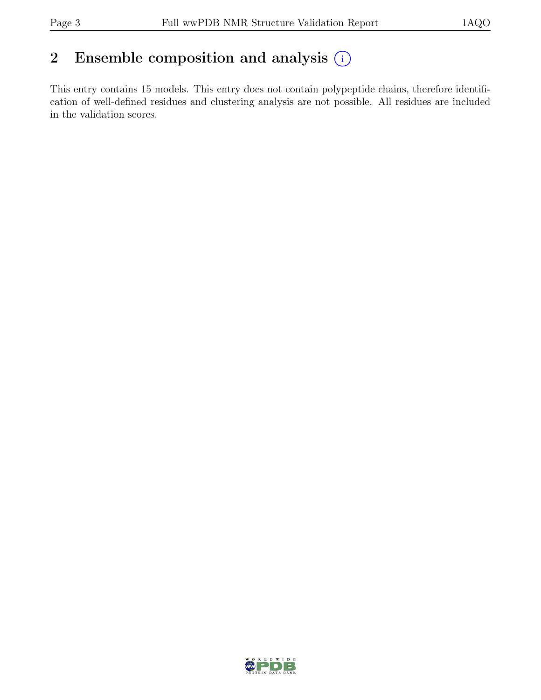# 2 Ensemble composition and analysis  $(i)$

This entry contains 15 models. This entry does not contain polypeptide chains, therefore identification of well-defined residues and clustering analysis are not possible. All residues are included in the validation scores.

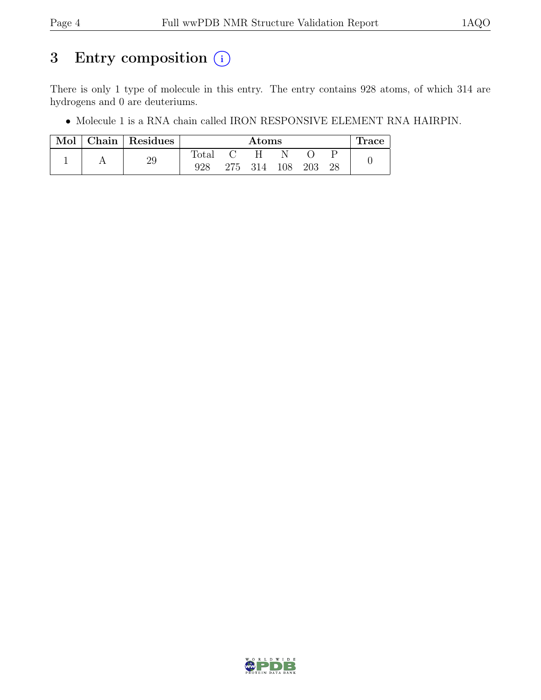# 3 Entry composition  $(i)$

There is only 1 type of molecule in this entry. The entry contains 928 atoms, of which 314 are hydrogens and 0 are deuteriums.

• Molecule 1 is a RNA chain called IRON RESPONSIVE ELEMENT RNA HAIRPIN.

| Mol | $\lfloor$ Chain $\rfloor$ Residues | $\rm{Atoms}$ |  |             |  |     | <b>Trace</b> |  |
|-----|------------------------------------|--------------|--|-------------|--|-----|--------------|--|
|     |                                    | Total        |  |             |  |     |              |  |
|     | 29                                 |              |  | 275 314 108 |  | 203 | 28           |  |

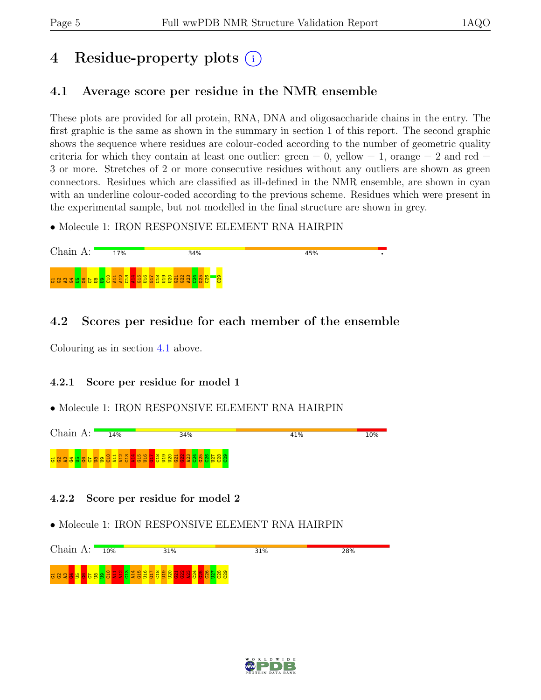# 4 Residue-property plots (i)

# <span id="page-4-0"></span>4.1 Average score per residue in the NMR ensemble

These plots are provided for all protein, RNA, DNA and oligosaccharide chains in the entry. The first graphic is the same as shown in the summary in section 1 of this report. The second graphic shows the sequence where residues are colour-coded according to the number of geometric quality criteria for which they contain at least one outlier: green  $= 0$ , yellow  $= 1$ , orange  $= 2$  and red  $=$ 3 or more. Stretches of 2 or more consecutive residues without any outliers are shown as green connectors. Residues which are classified as ill-defined in the NMR ensemble, are shown in cyan with an underline colour-coded according to the previous scheme. Residues which were present in the experimental sample, but not modelled in the final structure are shown in grey.

• Molecule 1: IRON RESPONSIVE ELEMENT RNA HAIRPIN



## 4.2 Scores per residue for each member of the ensemble

Colouring as in section [4.1](#page-4-0) above.

## 4.2.1 Score per residue for model 1

## • Molecule 1: IRON RESPONSIVE ELEMENT RNA HAIRPIN



## 4.2.2 Score per residue for model 2

• Molecule 1: IRON RESPONSIVE ELEMENT RNA HAIRPIN

Chain A: 10% 31% 31% 28%  $\frac{\circ}{5}$  $\Xi^ \frac{21}{21}$ C13 A14 G15 U16 G17 C18 U19 U20  $\mathrm{\ddot{S}}$  $\frac{2}{3}$  $\frac{2}{3}$  $\frac{3}{24}$  $\frac{5}{10}$  $\frac{8}{2}$  $\frac{57}{2}$  $\frac{8}{2}$ ဦ <mark>명 B B B B B</mark> B  $\frac{1}{2}$ ឌា

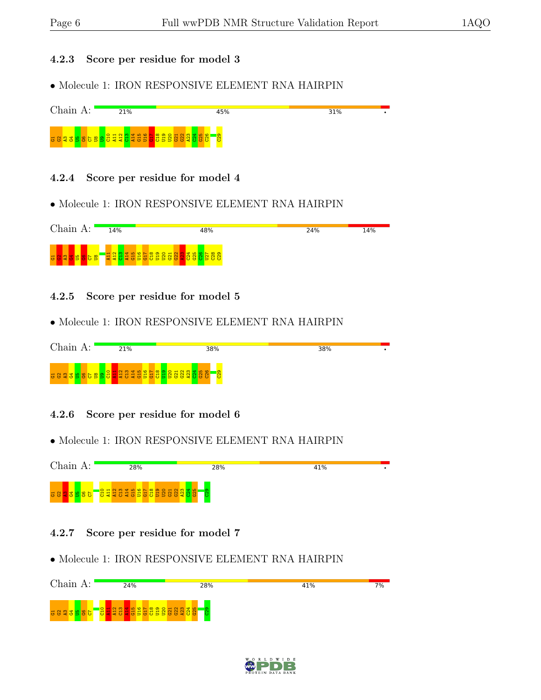### 4.2.3 Score per residue for model 3

• Molecule 1: IRON RESPONSIVE ELEMENT RNA HAIRPIN



#### 4.2.4 Score per residue for model 4

• Molecule 1: IRON RESPONSIVE ELEMENT RNA HAIRPIN



4.2.5 Score per residue for model 5

• Molecule 1: IRON RESPONSIVE ELEMENT RNA HAIRPIN



#### 4.2.6 Score per residue for model 6

• Molecule 1: IRON RESPONSIVE ELEMENT RNA HAIRPIN



- 4.2.7 Score per residue for model 7
- Molecule 1: IRON RESPONSIVE ELEMENT RNA HAIRPIN



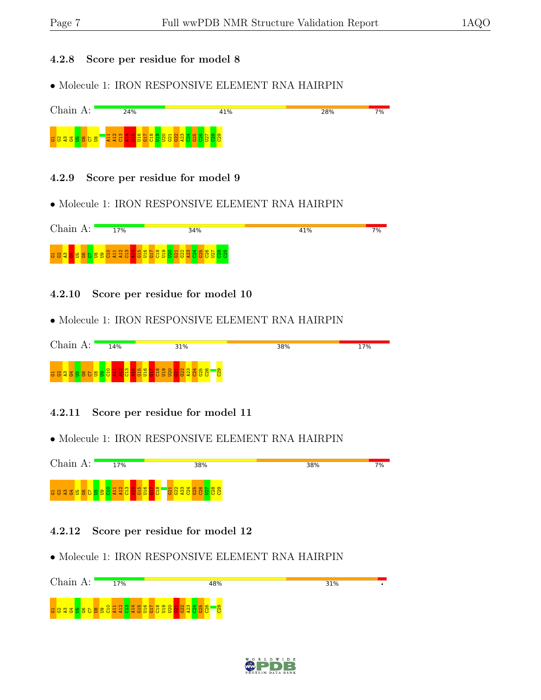#### 4.2.8 Score per residue for model 8

• Molecule 1: IRON RESPONSIVE ELEMENT RNA HAIRPIN



### 4.2.9 Score per residue for model 9

• Molecule 1: IRON RESPONSIVE ELEMENT RNA HAIRPIN



4.2.10 Score per residue for model 10

• Molecule 1: IRON RESPONSIVE ELEMENT RNA HAIRPIN



4.2.11 Score per residue for model 11

• Molecule 1: IRON RESPONSIVE ELEMENT RNA HAIRPIN



## 4.2.12 Score per residue for model 12

• Molecule 1: IRON RESPONSIVE ELEMENT RNA HAIRPIN



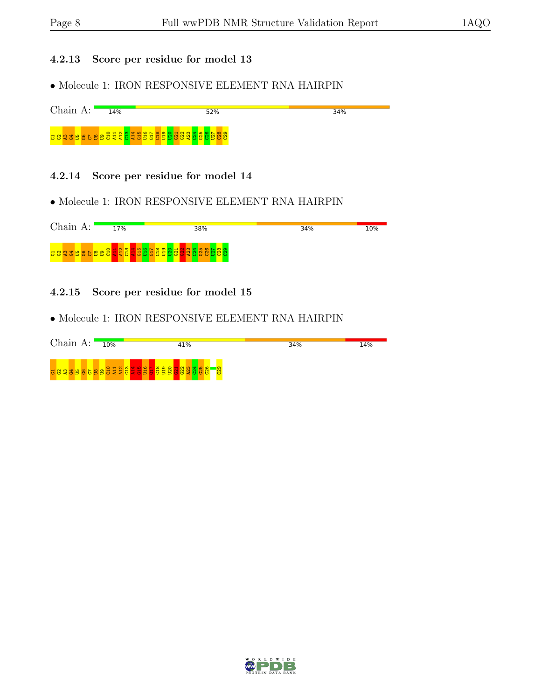## 4.2.13 Score per residue for model 13

• Molecule 1: IRON RESPONSIVE ELEMENT RNA HAIRPIN



#### 4.2.14 Score per residue for model 14

• Molecule 1: IRON RESPONSIVE ELEMENT RNA HAIRPIN



### 4.2.15 Score per residue for model 15

• Molecule 1: IRON RESPONSIVE ELEMENT RNA HAIRPIN

| Chain A: | 10% | 41%                                                                        | 34% | 14% |
|----------|-----|----------------------------------------------------------------------------|-----|-----|
|          |     | <u>u 8 g d b 8 b 8 b 8 d d d d d d b 8 b 8 d d 8 g d d 8 g</u><br>စ္ပ<br>Β |     |     |

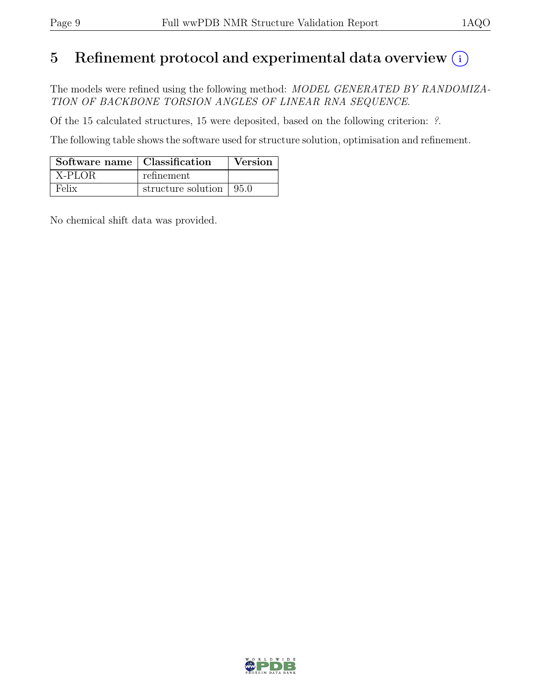# 5 Refinement protocol and experimental data overview  $\odot$

The models were refined using the following method: MODEL GENERATED BY RANDOMIZA-TION OF BACKBONE TORSION ANGLES OF LINEAR RNA SEQUENCE.

Of the 15 calculated structures, 15 were deposited, based on the following criterion: ?.

The following table shows the software used for structure solution, optimisation and refinement.

| Software name   Classification |                                         | Version |
|--------------------------------|-----------------------------------------|---------|
| $\vert$ X-PLOR                 | refinement                              |         |
| Felix                          | structure solution $\vert 95.0 \rangle$ |         |

No chemical shift data was provided.

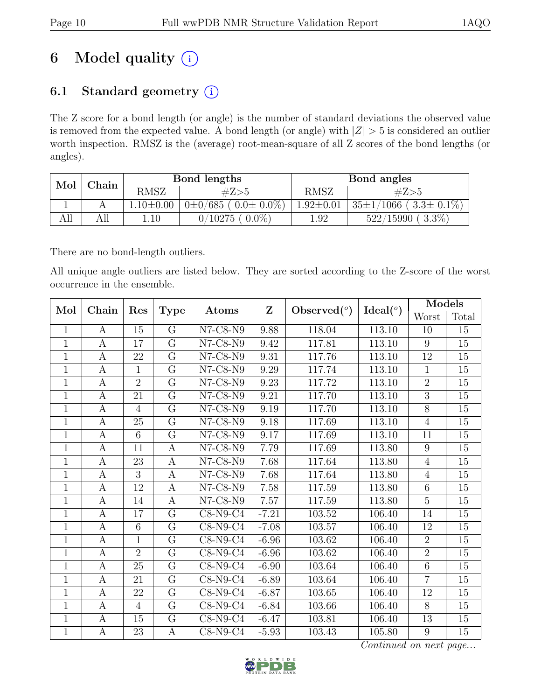# 6 Model quality  $(i)$

# 6.1 Standard geometry  $(i)$

The Z score for a bond length (or angle) is the number of standard deviations the observed value is removed from the expected value. A bond length (or angle) with  $|Z| > 5$  is considered an outlier worth inspection. RMSZ is the (average) root-mean-square of all Z scores of the bond lengths (or angles).

| Mol | $_{\rm Chain}$ |                 | Bond lengths                  |                 | Bond angles                     |
|-----|----------------|-----------------|-------------------------------|-----------------|---------------------------------|
|     | RMSZ           |                 | #Z>5                          | <b>RMSZ</b>     | #Z>5                            |
|     |                | $1.10 \pm 0.00$ | $0\pm0/685$ ( $0.0\pm0.0\%$ ) | $1.92 \pm 0.01$ | $35\pm1/1066$ ( $3.3\pm0.1\%$ ) |
|     |                | $\ldots 10$     | $0.0\%$<br>$^{\prime}10275$ ( | 1.92            | $(3.3\%)$<br>$522/15990$ (      |

There are no bond-length outliers.

All unique angle outliers are listed below. They are sorted according to the Z-score of the worst occurrence in the ensemble.

| Mol          | Chain            | Res            |                         | Atoms          | Z        | Observed $(°)$ | Ideal <sup>o</sup> | Models         |                 |
|--------------|------------------|----------------|-------------------------|----------------|----------|----------------|--------------------|----------------|-----------------|
|              |                  |                | <b>Type</b>             |                |          |                |                    | Worst          | Total           |
| $\mathbf{1}$ | A                | 15             | G                       | $N7$ -C8- $N9$ | 9.88     | 118.04         | 113.10             | 10             | 15              |
| $\mathbf{1}$ | $\boldsymbol{A}$ | 17             | $\overline{G}$          | $N7-C8-N9$     | 9.42     | 117.81         | 113.10             | 9              | 15              |
| $\mathbf{1}$ | $\mathbf{A}$     | 22             | $\overline{\mathrm{G}}$ | N7-C8-N9       | 9.31     | 117.76         | 113.10             | 12             | 15              |
| $\mathbf{1}$ | $\boldsymbol{A}$ | $\mathbf{1}$   | $\overline{G}$          | $N7-C8-N9$     | $9.29\,$ | 117.74         | 113.10             | 1              | $15\,$          |
| $\mathbf{1}$ | $\boldsymbol{A}$ | $\overline{2}$ | G                       | $N7$ -C8- $N9$ | 9.23     | 117.72         | 113.10             | $\overline{2}$ | 15              |
| $\mathbf{1}$ | $\boldsymbol{A}$ | 21             | $\overline{G}$          | $N7$ -C8- $N9$ | 9.21     | 117.70         | 113.10             | $\overline{3}$ | $15\,$          |
| $\mathbf{1}$ | A                | $\overline{4}$ | G                       | $N7$ -C8- $N9$ | 9.19     | 117.70         | 113.10             | $\overline{8}$ | 15              |
| $\mathbf{1}$ | $\mathbf{A}$     | 25             | $\rm G$                 | N7-C8-N9       | 9.18     | 117.69         | 113.10             | $\overline{4}$ | 15              |
| $\mathbf{1}$ | $\mathbf{A}$     | 6              | $\overline{G}$          | N7-C8-N9       | 9.17     | 117.69         | 113.10             | 11             | 15              |
| $\mathbf{1}$ | $\boldsymbol{A}$ | 11             | A                       | $N7$ -C8- $N9$ | 7.79     | 117.69         | 113.80             | 9              | 15              |
| $\mathbf{1}$ | $\boldsymbol{A}$ | 23             | $\boldsymbol{A}$        | $N7-C8-N9$     | 7.68     | 117.64         | 113.80             | $\overline{4}$ | 15              |
| $\mathbf{1}$ | $\boldsymbol{A}$ | 3              | A                       | $N7$ -C8- $N9$ | 7.68     | 117.64         | 113.80             | $\overline{4}$ | 15              |
| $\mathbf{1}$ | $\boldsymbol{A}$ | 12             | $\mathbf{A}$            | $N7$ -C8- $N9$ | 7.58     | 117.59         | 113.80             | 6              | 15              |
| $\mathbf{1}$ | A                | 14             | $\boldsymbol{A}$        | $N7$ -C8- $N9$ | 7.57     | 117.59         | 113.80             | $\overline{5}$ | 15              |
| $\mathbf{1}$ | $\boldsymbol{A}$ | 17             | G                       | $C8-N9-C4$     | $-7.21$  | 103.52         | 106.40             | 14             | 15              |
| $\mathbf{1}$ | $\mathbf{A}$     | 6              | $\overline{G}$          | $C8-N9-C4$     | $-7.08$  | 103.57         | 106.40             | 12             | $\overline{15}$ |
| $\mathbf{1}$ | $\boldsymbol{A}$ | $\mathbf{1}$   | $\overline{G}$          | $C8-N9-C4$     | $-6.96$  | 103.62         | 106.40             | $\overline{2}$ | 15              |
| $\mathbf{1}$ | $\boldsymbol{A}$ | $\overline{2}$ | G                       | $C8-N9-C4$     | $-6.96$  | 103.62         | 106.40             | $\overline{2}$ | 15              |
| $\mathbf{1}$ | $\boldsymbol{A}$ | 25             | $\overline{G}$          | $C8-N9-C4$     | $-6.90$  | 103.64         | 106.40             | $\overline{6}$ | $15\,$          |
| $\mathbf{1}$ | $\boldsymbol{A}$ | 21             | G                       | $C8-N9-C4$     | $-6.89$  | 103.64         | 106.40             | $\overline{7}$ | 15              |
| $\mathbf{1}$ | $\boldsymbol{A}$ | 22             | G                       | $C8-N9-C4$     | $-6.87$  | 103.65         | 106.40             | 12             | 15              |
| $\mathbf{1}$ | A                | $\overline{4}$ | G                       | $C8-N9-C4$     | $-6.84$  | 103.66         | 106.40             | 8              | 15              |
| $\mathbf{1}$ | $\boldsymbol{A}$ | 15             | $\overline{G}$          | $C8-N9-C4$     | $-6.47$  | 103.81         | 106.40             | 13             | 15              |
| $\mathbf{1}$ | $\boldsymbol{A}$ | 23             | A                       | $C8-N9-C4$     | $-5.93$  | 103.43         | 105.80             | 9              | $15\,$          |

Continued on next page...

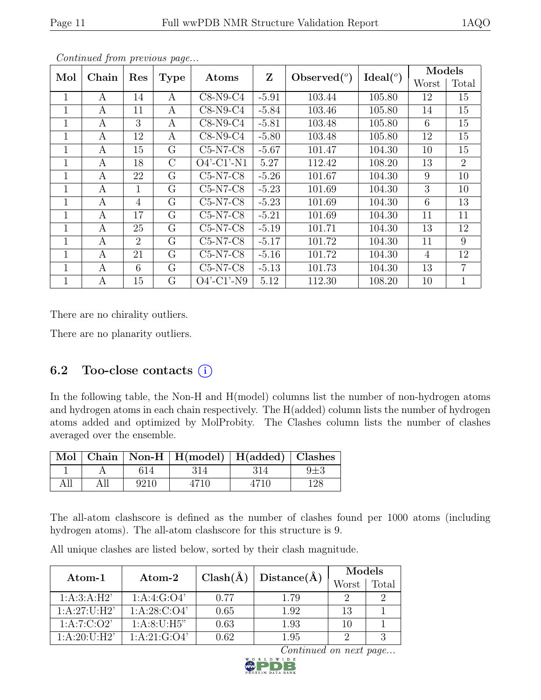|     | Contentaca from previous page |                |             |                               |         |                |                    |                |                |
|-----|-------------------------------|----------------|-------------|-------------------------------|---------|----------------|--------------------|----------------|----------------|
| Mol | Chain                         | Res            | <b>Type</b> | Atoms                         | Z       | Observed $(°)$ | Ideal <sup>o</sup> | Models         |                |
|     |                               |                |             |                               |         |                |                    | Worst          | Total          |
| 1   | A                             | 14             | А           | $C8-N9-C4$                    | $-5.91$ | 103.44         | 105.80             | 12             | 15             |
| 1   | A                             | 11             | A           | $C8-N9-C4$                    | $-5.84$ | 103.46         | 105.80             | 14             | 15             |
|     | А                             | 3              | А           | $C8-N9-C4$                    | $-5.81$ | 103.48         | 105.80             | 6              | 15             |
| 1   | A                             | 12             | A           | $C8-N9-C4$                    | $-5.80$ | 103.48         | 105.80             | 12             | 15             |
| 1   | A                             | 15             | G           | $C5-N7-C8$                    | $-5.67$ | 101.47         | 104.30             | 10             | 15             |
| 1   | А                             | 18             | $\rm C$     | $O4'$ -C1'-N1                 | 5.27    | 112.42         | 108.20             | 13             | $\overline{2}$ |
| 1   | A                             | 22             | G           | $C5-N7-C8$                    | $-5.26$ | 101.67         | 104.30             | 9              | 10             |
| 1   | A                             | 1              | G           | $C5-N7-C8$                    | $-5.23$ | 101.69         | 104.30             | 3              | 10             |
|     | А                             | $\overline{4}$ | G           | $C5-N7-C8$                    | $-5.23$ | 101.69         | 104.30             | 6              | 13             |
| 1   | A                             | 17             | G           | $C5-N7-C8$                    | $-5.21$ | 101.69         | 104.30             | 11             | 11             |
| 1   | A                             | 25             | G           | $\overline{\text{C5}}$ -N7-C8 | $-5.19$ | 101.71         | 104.30             | 13             | 12             |
| 1   | А                             | $\overline{2}$ | G           | $C5-N7-C8$                    | $-5.17$ | 101.72         | 104.30             | 11             | 9              |
| 1   | A                             | 21             | G           | $C5-N7-C8$                    | $-5.16$ | 101.72         | 104.30             | $\overline{4}$ | 12             |
| 1   | А                             | 6              | G           | C5-N7-C8                      | $-5.13$ | 101.73         | 104.30             | 13             | $\overline{7}$ |
| 1   | A                             | 15             | G           | $O4'$ -C1'-N9                 | 5.12    | 112.30         | 108.20             | 10             | $\mathbf 1$    |

Continued from previous page...

There are no chirality outliers.

There are no planarity outliers.

## 6.2 Too-close contacts  $(i)$

In the following table, the Non-H and H(model) columns list the number of non-hydrogen atoms and hydrogen atoms in each chain respectively. The H(added) column lists the number of hydrogen atoms added and optimized by MolProbity. The Clashes column lists the number of clashes averaged over the ensemble.

|  |      | Mol   Chain   Non-H   H(model)   H(added)   Clashes |      |  |
|--|------|-----------------------------------------------------|------|--|
|  |      |                                                     |      |  |
|  | 9210 | 4710                                                | 4710 |  |

The all-atom clashscore is defined as the number of clashes found per 1000 atoms (including hydrogen atoms). The all-atom clashscore for this structure is 9.

| Atom-1                                | Atom-2         | $Clash(\AA)$ | Distance(A) | Models |       |  |
|---------------------------------------|----------------|--------------|-------------|--------|-------|--|
|                                       |                |              |             | Worst  | Total |  |
| 1:A:3:A:H2'                           | 1: A:4: G:O4'  | 0.77         | 1.79        | ٠,     | 2     |  |
| 1: A:27: U:H2'                        | 1: A:28: C:O4' | 0.65         | 1.92        | 13     |       |  |
| 1: A: 7: C: O2'                       | 1: A:8:U:H5"   | 0.63         | 1.93        | 10     |       |  |
| $1 \cdot A \cdot 20 \cdot U \cdot H2$ | 1: A:21: G:O4' | 0.62         | 1.95        |        |       |  |

All unique clashes are listed below, sorted by their clash magnitude.

Continued on next page...

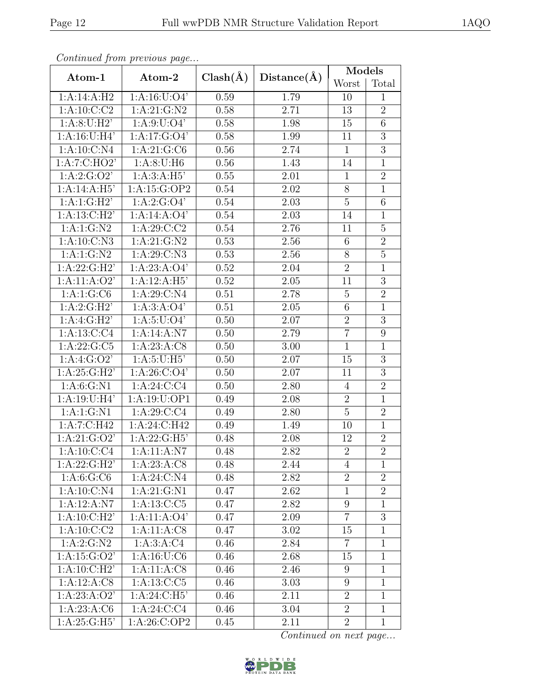|                  | Continued from previous page |              |             | <b>Models</b>    |                |
|------------------|------------------------------|--------------|-------------|------------------|----------------|
| Atom-1           | Atom-2                       | $Clash(\AA)$ | Distance(A) | Worst            | Total          |
| 1:A:14:A:H2      | 1: A: 16: U: O4'             | 0.59         | 1.79        | 10               | $\mathbf{1}$   |
| 1: A:10: C:C2    | 1: A:21: G:N2                | 0.58         | 2.71        | 13               | $\overline{2}$ |
| 1: A:8:U:H2'     | 1: A:9: U:O4'                | 0.58         | 1.98        | 15               | 6              |
| 1: A:16:U:H4'    | 1:A:17:G:O4'                 | 0.58         | 1.99        | $\overline{11}$  | $\overline{3}$ |
| 1:A:10:C:N4      | 1:A:21:G:C6                  | 0.56         | 2.74        | $\mathbf{1}$     | 3              |
| 1:A:7:C:HO2'     | 1: A:8:U:H6                  | 0.56         | 1.43        | 14               | $\mathbf{1}$   |
| 1: A:2: G:O2'    | 1:A:3:A:H5'                  | 0.55         | 2.01        | $\mathbf{1}$     | $\overline{2}$ |
| 1:A:14:A:H5'     | 1:A:15:G:OP2                 | 0.54         | 2.02        | 8                | $\mathbf{1}$   |
| 1:A:1:G:H2       | 1:A:2:G:O4'                  | 0.54         | 2.03        | $\overline{5}$   | 6              |
| 1:A:13:C:H2'     | 1:A:14:A:O4'                 | 0.54         | 2.03        | 14               | $\mathbf{1}$   |
| 1: A: 1: G: N2   | 1:A:29:C:C2                  | 0.54         | 2.76        | 11               | $\overline{5}$ |
| 1:A:10:C:N3      | 1: A:21: G:N2                | 0.53         | 2.56        | 6                | $\overline{2}$ |
| 1: A: 1: G: N2   | 1:A:29:C:N3                  | 0.53         | 2.56        | 8                | $\overline{5}$ |
| 1: A:22: G:H2'   | 1:A:23:A:O4'                 | 0.52         | 2.04        | $\overline{2}$   | $\mathbf{1}$   |
| 1:A:11:A:O2'     | 1:A:12:A:H5'                 | 0.52         | 2.05        | 11               | $\overline{3}$ |
| 1:A:1:G:C6       | 1:A:29:C:N4                  | 0.51         | 2.78        | $\overline{5}$   | $\overline{2}$ |
| 1:A:2:G:H2'      | 1: A:3:A:O4'                 | 0.51         | 2.05        | $\sqrt{6}$       | $\mathbf{1}$   |
| 1:A:4:G:H2'      | 1: A:5: U:O4'                | 0.50         | 2.07        | $\overline{2}$   | $\overline{3}$ |
| 1:A:13:C:C4      | 1:A:14:A:N7                  | 0.50         | 2.79        | $\overline{7}$   | 9              |
| 1: A:22: G: C5   | 1:A:23:A:C8                  | 0.50         | 3.00        | $\mathbf{1}$     | $\mathbf{1}$   |
| 1: A:4: G:O2'    | 1: A:5: U:H5'                | 0.50         | 2.07        | 15               | $\overline{3}$ |
| 1: A:25: G:H2'   | 1: A:26: C:O4'               | 0.50         | 2.07        | 11               | 3              |
| 1: A:6: G: N1    | 1: A:24: C:C4                | 0.50         | 2.80        | $\overline{4}$   | $\overline{2}$ |
| 1:A:19:U:H4'     | 1:A:19:U:OP1                 | 0.49         | 2.08        | $\overline{2}$   | $\mathbf{1}$   |
| 1: A: 1: G: N1   | 1:A:29:C:C4                  | 0.49         | 2.80        | $\overline{5}$   | $\overline{2}$ |
| 1:A:7:C:H42      | 1:A:24:C:H42                 | 0.49         | 1.49        | 10               | $\mathbf{1}$   |
| 1:A:21:G:O2'     | 1: A:22: G:H5'               | 0.48         | 2.08        | 12               | $\overline{2}$ |
| 1:A:10:C:C4      | 1: A: 11: A: N7              | 0.48         | 2.82        | $\overline{2}$   | $\overline{2}$ |
| 1:A:22:G:H2'     | 1:A:23:A:C8                  | 0.48         | 2.44        | 4                | 1              |
| 1: A:6: G:CO     | 1: A:24: C: N4               | 0.48         | 2.82        | $\boldsymbol{2}$ | $\overline{2}$ |
| 1:A:10:C:N4      | 1:A:21:G:N1                  | 0.47         | 2.62        | $\mathbf{1}$     | $\overline{2}$ |
| 1:A:12:A:N7      | $1: A: 13: C: C5$            | 0.47         | 2.82        | $\boldsymbol{9}$ | $\mathbf{1}$   |
| 1:A:10:C:H2'     | 1:A:11:A:O4'                 | 0.47         | 2.09        | $\overline{7}$   | $\overline{3}$ |
| 1: A: 10: C: C2  | 1:A:11:A:C8                  | 0.47         | 3.02        | 15               | $\mathbf{1}$   |
| 1: A:2: G:N2     | 1: A:3: A: C4                | 0.46         | 2.84        | $\overline{7}$   | $\mathbf{1}$   |
| 1: A: 15: G: O2' | 1: A: 16: U: C6              | 0.46         | 2.68        | 15               | $\mathbf{1}$   |
| 1:A:10:C:H2'     | 1:A:11:A:CS                  | 0.46         | 2.46        | 9                | $\mathbf{1}$   |
| 1:A:12:A:CS      | 1:A:13:C:C5                  | 0.46         | 3.03        | $\boldsymbol{9}$ | $\mathbf{1}$   |
| 1:A:23:A:O2'     | 1: A:24: C:H5'               | 0.46         | 2.11        | $\overline{2}$   | $\mathbf{1}$   |
| 1: A:23:A:C6     | $1:A:24.\overline{C:C4}$     | 0.46         | 3.04        | $\overline{2}$   | $\mathbf{1}$   |
| 1: A:25: G:H5'   | 1:A:26:C:OP2                 | 0.45         | 2.11        | $\overline{2}$   | $\mathbf{1}$   |

Continued from previous page...

Continued on next page...

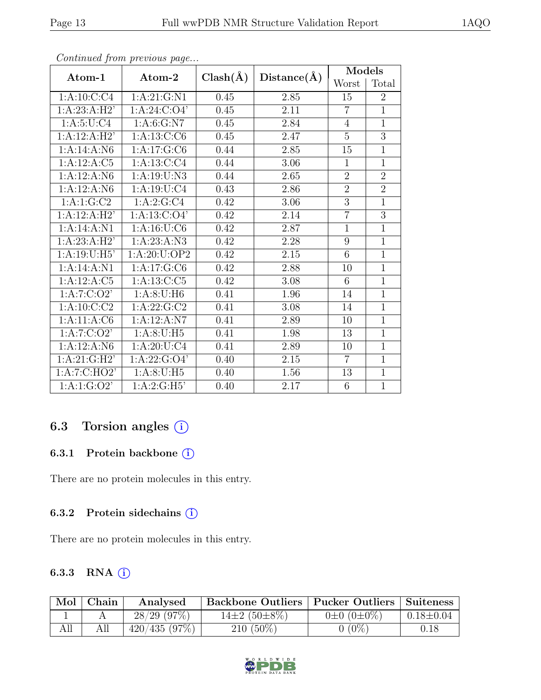| $Atom-1$        | Atom-2           |              |             | Models         |                |  |
|-----------------|------------------|--------------|-------------|----------------|----------------|--|
|                 |                  | $Clash(\AA)$ | Distance(A) | Worst          | Total          |  |
| 1:A:10:C:C4     | 1: A:21: G:N1    | 0.45         | 2.85        | 15             | $\overline{2}$ |  |
| 1:A:23:A:H2'    | 1: A:24: C:O4'   | 0.45         | 2.11        | $\overline{7}$ | $\overline{1}$ |  |
| 1: A:5: U: C4   | 1: A:6: G: N7    | 0.45         | 2.84        | 4              | $\overline{1}$ |  |
| 1:A:12:A:H2'    | 1: A: 13: C: C6  | 0.45         | 2.47        | 5              | 3              |  |
| 1:A:14:A:N6     | 1:A:17:G:C6      | 0.44         | 2.85        | 15             | 1              |  |
| 1:A:12:A:C5     | 1: A: 13: C: C4  | 0.44         | 3.06        | $\mathbf{1}$   | $\overline{1}$ |  |
| 1:A:12:A:N6     | 1:A:19:U:N3      | 0.44         | 2.65        | $\overline{2}$ | $\overline{2}$ |  |
| 1:A:12:A:N6     | 1: A: 19: U: C4  | 0.43         | 2.86        | $\overline{2}$ | $\overline{2}$ |  |
| 1:A:1:G:C2      | 1:A:2:G:C4       | 0.42         | 3.06        | 3              | $\overline{1}$ |  |
| 1:A:12:A:H2'    | 1: A: 13: C: O4' | 0.42         | 2.14        | $\overline{7}$ | 3              |  |
| 1:A:14:A:N1     | 1: A: 16: U: C6  | 0.42         | 2.87        | $\mathbf{1}$   | $\overline{1}$ |  |
| 1:A:23:A:H2'    | 1: A: 23: A: N3  | 0.42         | 2.28        | 9              | $\mathbf{1}$   |  |
| 1: A:19:U:H5'   | 1:A:20:U:OP2     | 0.42         | 2.15        | 6              | $\overline{1}$ |  |
| 1:A:14:A:N1     | 1: A: 17: G: C6  | 0.42         | 2.88        | 10             | $\overline{1}$ |  |
| 1:A:12:A:C5     | 1: A: 13: C: C5  | 0.42         | 3.08        | 6              | $\overline{1}$ |  |
| 1:A:7:C:O2'     | 1: A:8:U:H6      | 0.41         | 1.96        | 14             | $\overline{1}$ |  |
| 1:A:10:C:C2     | 1: A:22: G: C2   | 0.41         | 3.08        | 14             | $\overline{1}$ |  |
| 1: A: 11: A: C6 | 1:A:12:A:N7      | 0.41         | 2.89        | 10             | $\overline{1}$ |  |
| 1: A: 7: C: O2' | 1: A:8:U:H5      | 0.41         | 1.98        | 13             | $\overline{1}$ |  |
| 1:A:12:A:N6     | 1: A:20: U: C4   | 0.41         | 2.89        | 10             | $\mathbf{1}$   |  |
| 1: A:21: G:H2'  | 1: A:22: G:O4'   | 0.40         | 2.15        | $\overline{7}$ | $\overline{1}$ |  |
| 1:A:7:C:HO2'    | $1: A:8:U:H5$    | 0.40         | 1.56        | 13             | $\mathbf{1}$   |  |
| 1:A:1:G:O2'     | 1:A:2:G:H5'      | 0.40         | 2.17        | 6              | $\mathbf{1}$   |  |

Continued from previous page...

# 6.3 Torsion angles (i)

### 6.3.1 Protein backbone ①

There are no protein molecules in this entry.

### 6.3.2 Protein sidechains (i)

There are no protein molecules in this entry.

## 6.3.3 RNA  $(i)$

| Mol | Chain | Analysed       | Backbone Outliers   Pucker Outliers   Suiteness |                       |                 |
|-----|-------|----------------|-------------------------------------------------|-----------------------|-----------------|
|     |       | $28/29$ (97\%) | $14\pm2(50\pm8\%)$                              | $0\pm 0$ $(0\pm 0\%)$ | $0.18 \pm 0.04$ |
| All |       | 420/435(97%)   | $210(50\%)$                                     | $0(0\%)$              | 0.18            |

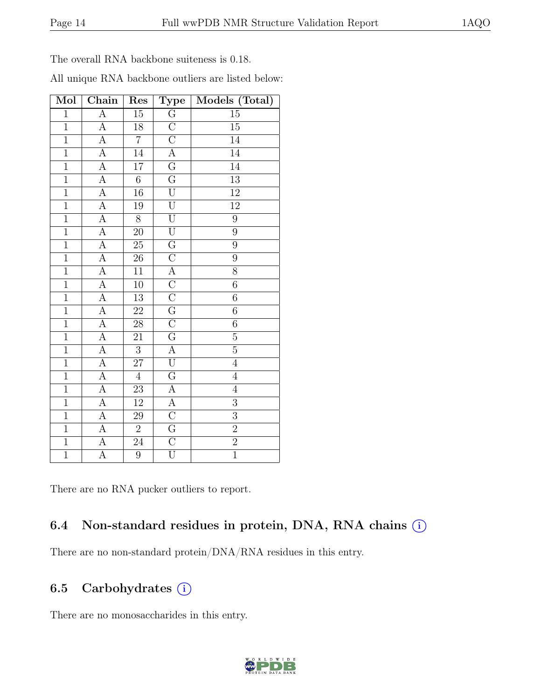The overall RNA backbone suiteness is 0.18.

| All unique RNA backbone outliers are listed below: |  |  |  |  |  |
|----------------------------------------------------|--|--|--|--|--|
|----------------------------------------------------|--|--|--|--|--|

| Mol            | Chain            | Res             | <b>Type</b>             | Models (Total)   |
|----------------|------------------|-----------------|-------------------------|------------------|
| $\mathbf{1}$   | $\overline{A}$   | $15\,$          | $\overline{\mathrm{G}}$ | $15\,$           |
| $\overline{1}$ | $\overline{A}$   | 18              | $\overline{\rm C}$      | $\overline{15}$  |
| $\overline{1}$ | $\overline{A}$   | $\overline{7}$  | $\overline{C}$          | $\overline{14}$  |
| $\overline{1}$ | $\overline{A}$   | 14              | $\overline{A}$          | 14               |
| $\overline{1}$ | $\overline{A}$   | $17\,$          | $\overline{\mathrm{G}}$ | $\overline{14}$  |
| $\,1$          | $\overline{A}$   | $\overline{6}$  | $\overline{G}$          | $\overline{13}$  |
| $\overline{1}$ | $\overline{A}$   | 16              | $\overline{\mathrm{U}}$ | $12\,$           |
| $\overline{1}$ | $\overline{A}$   | 19              | $\overline{\mathrm{U}}$ | $\overline{12}$  |
| $\mathbf{1}$   | $\boldsymbol{A}$ | $8\,$           | $\overline{\mathrm{U}}$ | $\boldsymbol{9}$ |
| $\overline{1}$ | $\overline{A}$   | $\overline{20}$ | $\overline{\mathrm{U}}$ | $\overline{9}$   |
| $\overline{1}$ | $\overline{A}$   | 25              | $\overline{G}$          | $\overline{9}$   |
| $\mathbf{1}$   | $\boldsymbol{A}$ | 26              | $\overline{\rm C}$      | $\boldsymbol{9}$ |
| $\overline{1}$ | $\overline{A}$   | $\overline{11}$ | $\overline{A}$          | $\overline{8}$   |
| $\overline{1}$ | $\overline{A}$   | $10\,$          | $\overline{C}$          | $\overline{6}$   |
| $\,1$          | $\overline{A}$   | 13              | $\overline{C}$          | $\,6$            |
| $\overline{1}$ | $\overline{A}$   | 22              | $\overline{G}$          | $\,6\,$          |
| $\overline{1}$ | $\overline{A}$   | 28              | $\overline{C}$          | $\,6$            |
| $\overline{1}$ | $\overline{A}$   | 21              | $\overline{\mathrm{G}}$ | $\overline{5}$   |
| $\overline{1}$ | $\overline{A}$   | $\overline{3}$  | $\overline{A}$          | $\overline{5}$   |
| $\overline{1}$ | $\overline{A}$   | $\overline{27}$ | $\overline{\mathrm{U}}$ | $\overline{4}$   |
| $\mathbf{1}$   | A                | $\overline{4}$  | $\overline{G}$          | $\,4\,$          |
| $\overline{1}$ | $\overline{A}$   | 23              | $\overline{A}$          | $\overline{4}$   |
| $\overline{1}$ | $\overline{A}$   | $12\,$          | $\overline{A}$          | $\overline{3}$   |
| $\overline{1}$ | $\boldsymbol{A}$ | 29              | $\overline{\rm C}$      | $\overline{3}$   |
| $\overline{1}$ | $\overline{A}$   | $\overline{2}$  | $\overline{G}$          | $\overline{2}$   |
| $\overline{1}$ | $\overline{A}$   | 24              | $\overline{C}$          | $\overline{2}$   |
| $\overline{1}$ | $\overline{A}$   | $\overline{9}$  | $\overline{\mathrm{U}}$ | $\overline{1}$   |

There are no RNA pucker outliers to report.

## 6.4 Non-standard residues in protein, DNA, RNA chains (i)

There are no non-standard protein/DNA/RNA residues in this entry.

## 6.5 Carbohydrates  $(i)$

There are no monosaccharides in this entry.

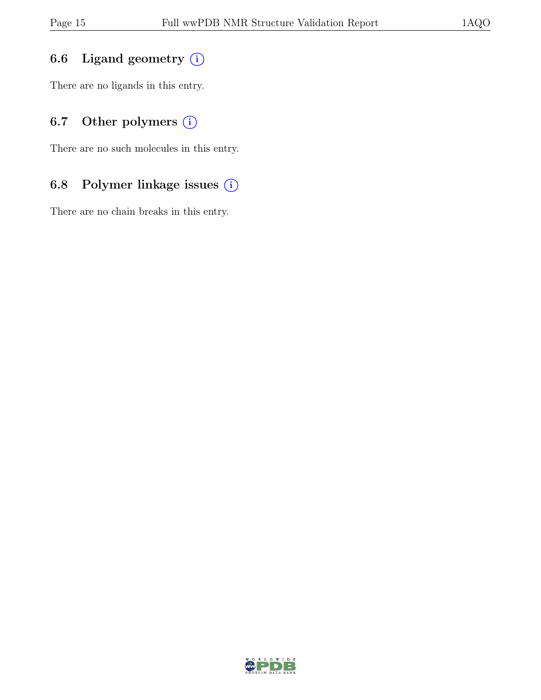## 6.6 Ligand geometry  $(i)$

There are no ligands in this entry.

## 6.7 Other polymers  $(i)$

There are no such molecules in this entry.

## 6.8 Polymer linkage issues (i)

There are no chain breaks in this entry.